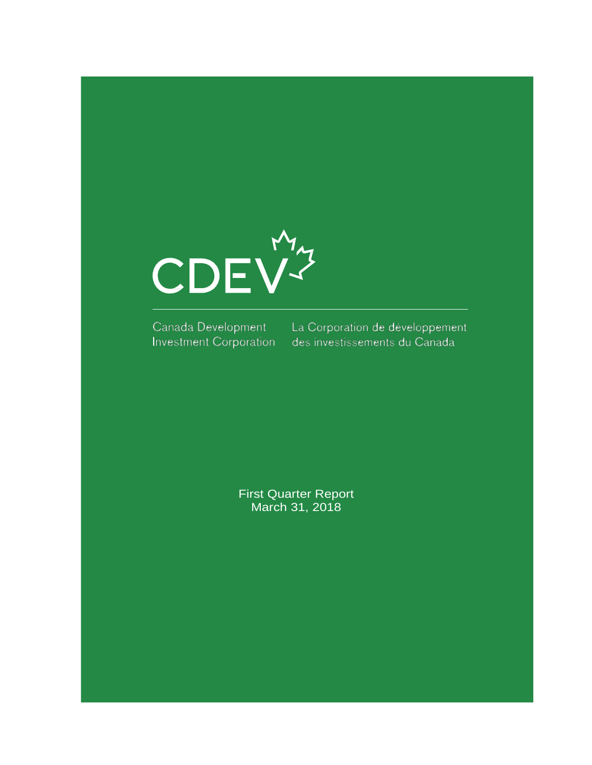

Canada Development Investment Corporation

La Corporation de développement des investissements du Canada

First Quarter Report March 31, 2018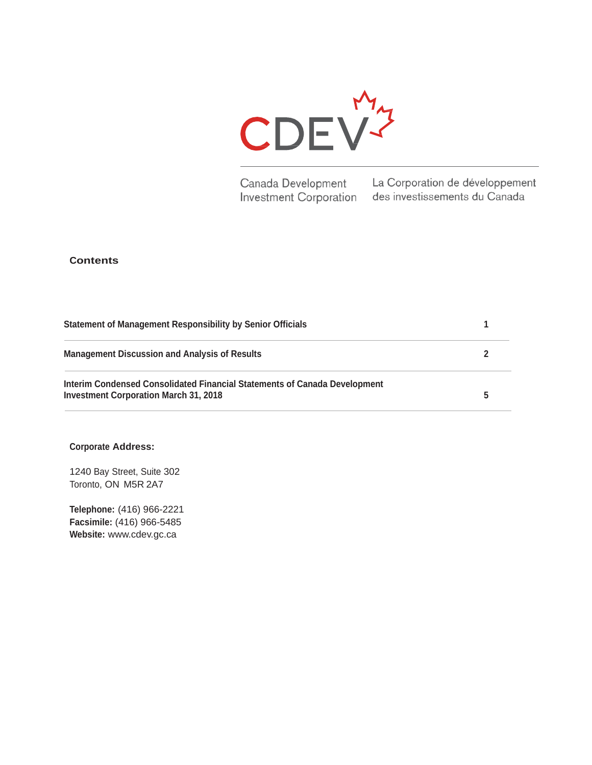

Canada Development **Investment Corporation** 

La Corporation de développement des investissements du Canada

## **Contents**

| Statement of Management Responsibility by Senior Officials                                                                |  |
|---------------------------------------------------------------------------------------------------------------------------|--|
| <b>Management Discussion and Analysis of Results</b>                                                                      |  |
| Interim Condensed Consolidated Financial Statements of Canada Development<br><b>Investment Corporation March 31, 2018</b> |  |

#### **Corporate Address:**

1240 Bay Street, Suite 302 Toronto, ON M5R 2A7

**Telephone:** (416) 966-2221 **Facsimile:** (416) 966-5485 **Website:** [www.cdev.gc.ca](http://www.cdev.gc.ca/)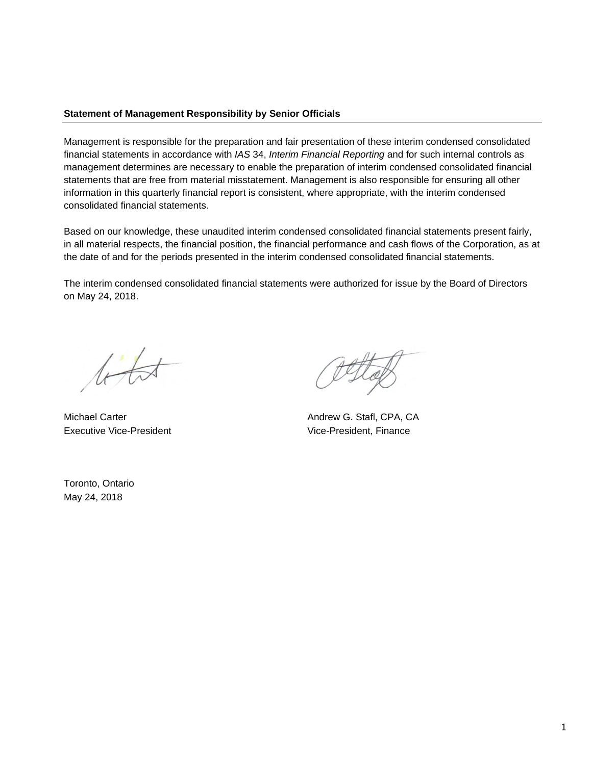## **Statement of Management Responsibility by Senior Officials**

Management is responsible for the preparation and fair presentation of these interim condensed consolidated financial statements in accordance with *IAS* 34, *Interim Financial Reporting* and for such internal controls as management determines are necessary to enable the preparation of interim condensed consolidated financial statements that are free from material misstatement. Management is also responsible for ensuring all other information in this quarterly financial report is consistent, where appropriate, with the interim condensed consolidated financial statements.

Based on our knowledge, these unaudited interim condensed consolidated financial statements present fairly, in all material respects, the financial position, the financial performance and cash flows of the Corporation, as at the date of and for the periods presented in the interim condensed consolidated financial statements.

The interim condensed consolidated financial statements were authorized for issue by the Board of Directors on May 24, 2018.

 $t\leftrightarrow t$ 

Executive Vice-President **Executive Vice-President**, Finance

Michael Carter **Andrew G. Stafl, CPA, CA** 

Toronto, Ontario May 24, 2018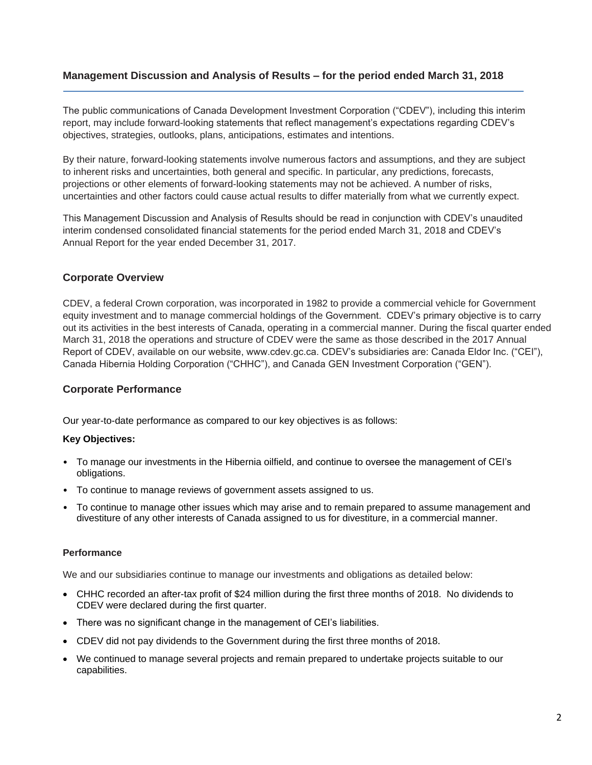## **Management Discussion and Analysis of Results – for the period ended March 31, 2018**

The public communications of Canada Development Investment Corporation ("CDEV"), including this interim report, may include forward-looking statements that reflect management's expectations regarding CDEV's objectives, strategies, outlooks, plans, anticipations, estimates and intentions.

By their nature, forward-looking statements involve numerous factors and assumptions, and they are subject to inherent risks and uncertainties, both general and specific. In particular, any predictions, forecasts, projections or other elements of forward-looking statements may not be achieved. A number of risks, uncertainties and other factors could cause actual results to differ materially from what we currently expect.

This Management Discussion and Analysis of Results should be read in conjunction with CDEV's unaudited interim condensed consolidated financial statements for the period ended March 31, 2018 and CDEV's Annual Report for the year ended December 31, 2017.

## **Corporate Overview**

CDEV, a federal Crown corporation, was incorporated in 1982 to provide a commercial vehicle for Government equity investment and to manage commercial holdings of the Government. CDEV's primary objective is to carry out its activities in the best interests of Canada, operating in a commercial manner. During the fiscal quarter ended March 31, 2018 the operations and structure of CDEV were the same as those described in the 2017 Annual Report of CDEV, available on our website, www.cdev.gc.ca. CDEV's subsidiaries are: Canada Eldor Inc. ("CEI"), Canada Hibernia Holding Corporation ("CHHC"), and Canada GEN Investment Corporation ("GEN").

## **Corporate Performance**

Our year-to-date performance as compared to our key objectives is as follows:

## **Key Objectives:**

- To manage our investments in the Hibernia oilfield, and continue to oversee the management of CEI's obligations.
- To continue to manage reviews of government assets assigned to us.
- To continue to manage other issues which may arise and to remain prepared to assume management and divestiture of any other interests of Canada assigned to us for divestiture, in a commercial manner.

## **Performance**

We and our subsidiaries continue to manage our investments and obligations as detailed below:

- CHHC recorded an after-tax profit of \$24 million during the first three months of 2018. No dividends to CDEV were declared during the first quarter.
- There was no significant change in the management of CEI's liabilities.
- CDEV did not pay dividends to the Government during the first three months of 2018.
- We continued to manage several projects and remain prepared to undertake projects suitable to our capabilities.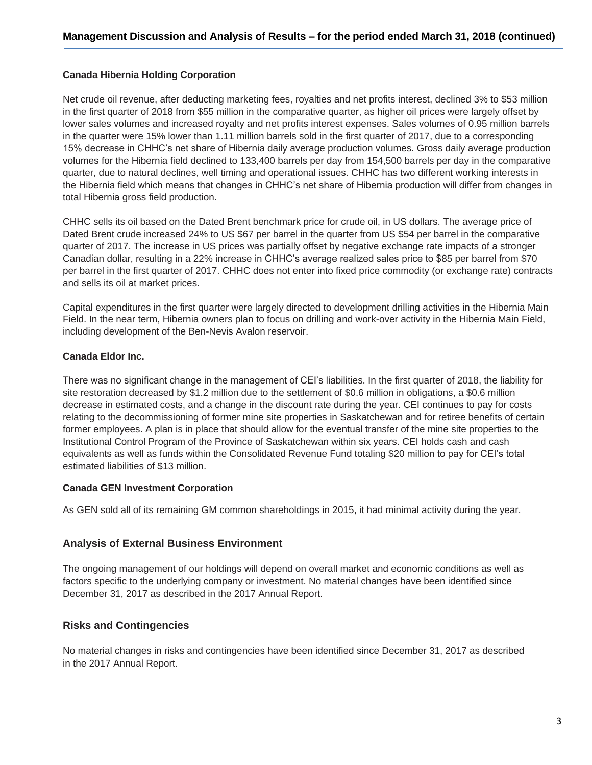## **Canada Hibernia Holding Corporation**

Net crude oil revenue, after deducting marketing fees, royalties and net profits interest, declined 3% to \$53 million in the first quarter of 2018 from \$55 million in the comparative quarter, as higher oil prices were largely offset by lower sales volumes and increased royalty and net profits interest expenses. Sales volumes of 0.95 million barrels in the quarter were 15% lower than 1.11 million barrels sold in the first quarter of 2017, due to a corresponding 15% decrease in CHHC's net share of Hibernia daily average production volumes. Gross daily average production volumes for the Hibernia field declined to 133,400 barrels per day from 154,500 barrels per day in the comparative quarter, due to natural declines, well timing and operational issues. CHHC has two different working interests in the Hibernia field which means that changes in CHHC's net share of Hibernia production will differ from changes in total Hibernia gross field production.

CHHC sells its oil based on the Dated Brent benchmark price for crude oil, in US dollars. The average price of Dated Brent crude increased 24% to US \$67 per barrel in the quarter from US \$54 per barrel in the comparative quarter of 2017. The increase in US prices was partially offset by negative exchange rate impacts of a stronger Canadian dollar, resulting in a 22% increase in CHHC's average realized sales price to \$85 per barrel from \$70 per barrel in the first quarter of 2017. CHHC does not enter into fixed price commodity (or exchange rate) contracts and sells its oil at market prices.

Capital expenditures in the first quarter were largely directed to development drilling activities in the Hibernia Main Field. In the near term, Hibernia owners plan to focus on drilling and work-over activity in the Hibernia Main Field, including development of the Ben-Nevis Avalon reservoir.

#### **Canada Eldor Inc.**

There was no significant change in the management of CEI's liabilities. In the first quarter of 2018, the liability for site restoration decreased by \$1.2 million due to the settlement of \$0.6 million in obligations, a \$0.6 million decrease in estimated costs, and a change in the discount rate during the year. CEI continues to pay for costs relating to the decommissioning of former mine site properties in Saskatchewan and for retiree benefits of certain former employees. A plan is in place that should allow for the eventual transfer of the mine site properties to the Institutional Control Program of the Province of Saskatchewan within six years. CEI holds cash and cash equivalents as well as funds within the Consolidated Revenue Fund totaling \$20 million to pay for CEI's total estimated liabilities of \$13 million.

#### **Canada GEN Investment Corporation**

As GEN sold all of its remaining GM common shareholdings in 2015, it had minimal activity during the year.

## **Analysis of External Business Environment**

The ongoing management of our holdings will depend on overall market and economic conditions as well as factors specific to the underlying company or investment. No material changes have been identified since December 31, 2017 as described in the 2017 Annual Report.

## **Risks and Contingencies**

No material changes in risks and contingencies have been identified since December 31, 2017 as described in the 2017 Annual Report.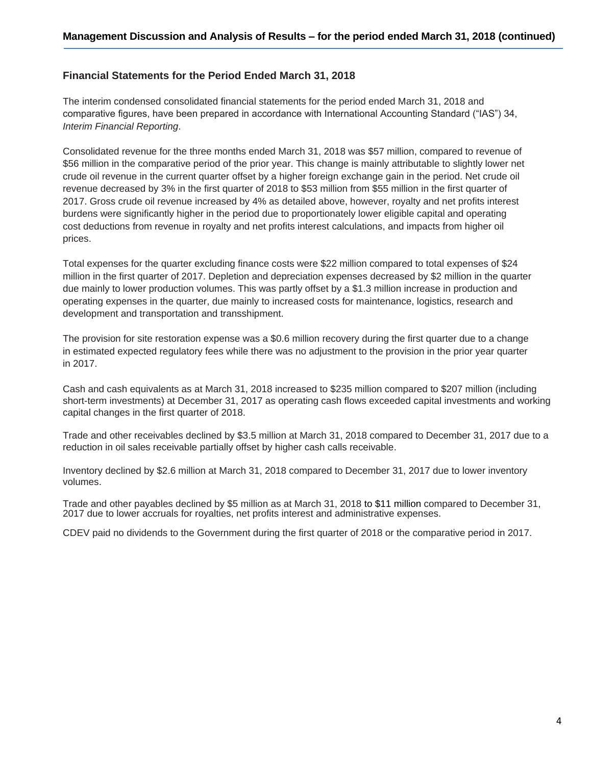## **Financial Statements for the Period Ended March 31, 2018**

The interim condensed consolidated financial statements for the period ended March 31, 2018 and comparative figures, have been prepared in accordance with International Accounting Standard ("IAS") 34, *Interim Financial Reporting*.

Consolidated revenue for the three months ended March 31, 2018 was \$57 million, compared to revenue of \$56 million in the comparative period of the prior year. This change is mainly attributable to slightly lower net crude oil revenue in the current quarter offset by a higher foreign exchange gain in the period. Net crude oil revenue decreased by 3% in the first quarter of 2018 to \$53 million from \$55 million in the first quarter of 2017. Gross crude oil revenue increased by 4% as detailed above, however, royalty and net profits interest burdens were significantly higher in the period due to proportionately lower eligible capital and operating cost deductions from revenue in royalty and net profits interest calculations, and impacts from higher oil prices.

Total expenses for the quarter excluding finance costs were \$22 million compared to total expenses of \$24 million in the first quarter of 2017. Depletion and depreciation expenses decreased by \$2 million in the quarter due mainly to lower production volumes. This was partly offset by a \$1.3 million increase in production and operating expenses in the quarter, due mainly to increased costs for maintenance, logistics, research and development and transportation and transshipment.

The provision for site restoration expense was a \$0.6 million recovery during the first quarter due to a change in estimated expected regulatory fees while there was no adjustment to the provision in the prior year quarter in 2017.

Cash and cash equivalents as at March 31, 2018 increased to \$235 million compared to \$207 million (including short-term investments) at December 31, 2017 as operating cash flows exceeded capital investments and working capital changes in the first quarter of 2018.

Trade and other receivables declined by \$3.5 million at March 31, 2018 compared to December 31, 2017 due to a reduction in oil sales receivable partially offset by higher cash calls receivable.

Inventory declined by \$2.6 million at March 31, 2018 compared to December 31, 2017 due to lower inventory volumes.

Trade and other payables declined by \$5 million as at March 31, 2018 to \$11 million compared to December 31, 2017 due to lower accruals for royalties, net profits interest and administrative expenses.

CDEV paid no dividends to the Government during the first quarter of 2018 or the comparative period in 2017.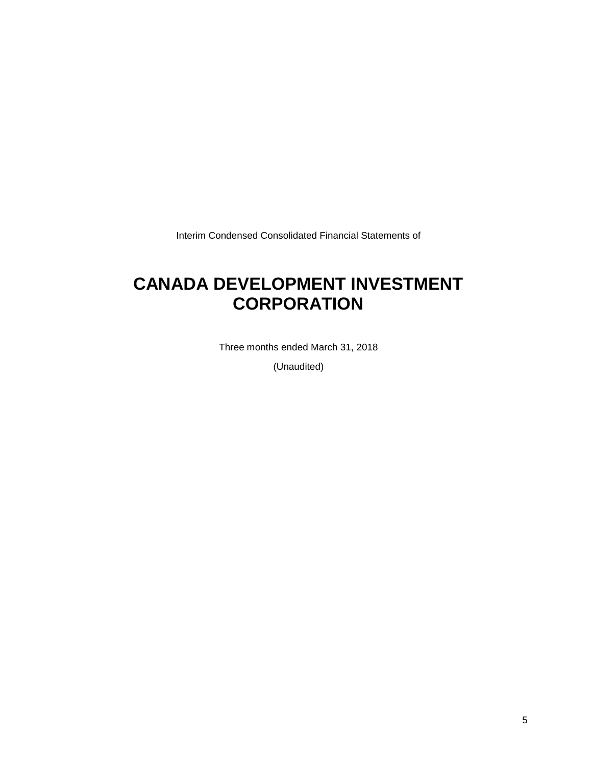Interim Condensed Consolidated Financial Statements of

## **CANADA DEVELOPMENT INVESTMENT CORPORATION**

Three months ended March 31, 2018

(Unaudited)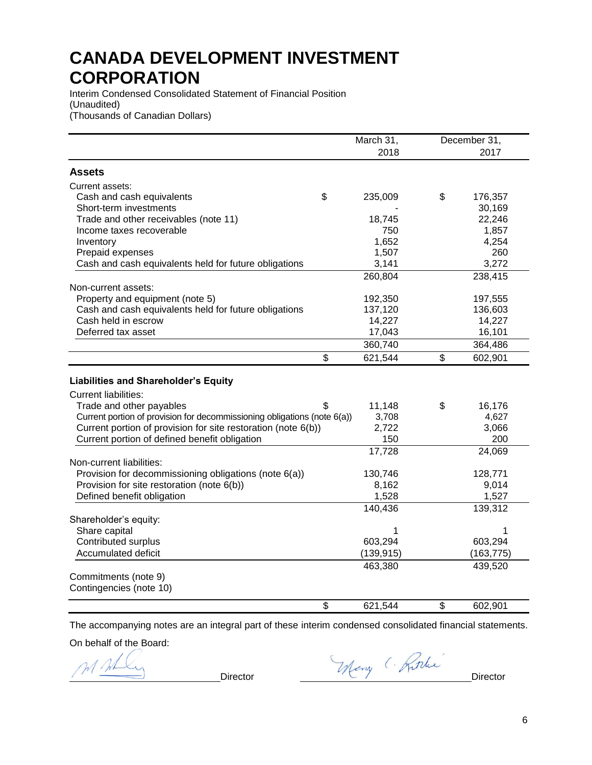Interim Condensed Consolidated Statement of Financial Position (Unaudited) (Thousands of Canadian Dollars)

|                                                                          | March 31,     |    | December 31, |
|--------------------------------------------------------------------------|---------------|----|--------------|
|                                                                          | 2018          |    | 2017         |
| Assets                                                                   |               |    |              |
|                                                                          |               |    |              |
| Current assets:                                                          |               |    |              |
| Cash and cash equivalents                                                | \$<br>235,009 | \$ | 176,357      |
| Short-term investments                                                   |               |    | 30,169       |
| Trade and other receivables (note 11)                                    | 18,745        |    | 22,246       |
| Income taxes recoverable                                                 | 750           |    | 1,857        |
| Inventory                                                                | 1,652         |    | 4,254        |
| Prepaid expenses                                                         | 1,507         |    | 260          |
| Cash and cash equivalents held for future obligations                    | 3,141         |    | 3,272        |
|                                                                          | 260,804       |    | 238,415      |
| Non-current assets:                                                      |               |    |              |
| Property and equipment (note 5)                                          | 192,350       |    | 197,555      |
| Cash and cash equivalents held for future obligations                    | 137,120       |    | 136,603      |
| Cash held in escrow                                                      | 14,227        |    | 14,227       |
| Deferred tax asset                                                       | 17,043        |    | 16,101       |
|                                                                          | 360,740       |    | 364,486      |
|                                                                          | \$<br>621,544 | \$ | 602,901      |
|                                                                          |               |    |              |
| <b>Liabilities and Shareholder's Equity</b>                              |               |    |              |
| <b>Current liabilities:</b>                                              |               |    |              |
| Trade and other payables                                                 | \$<br>11,148  | \$ | 16,176       |
| Current portion of provision for decommissioning obligations (note 6(a)) | 3,708         |    | 4,627        |
| Current portion of provision for site restoration (note 6(b))            | 2,722         |    | 3,066        |
| Current portion of defined benefit obligation                            | 150           |    | 200          |
|                                                                          | 17,728        |    | 24,069       |
| Non-current liabilities:                                                 |               |    |              |
| Provision for decommissioning obligations (note 6(a))                    | 130,746       |    | 128,771      |
| Provision for site restoration (note 6(b))                               | 8,162         |    | 9,014        |
| Defined benefit obligation                                               | 1,528         |    | 1,527        |
|                                                                          | 140,436       |    | 139,312      |
| Shareholder's equity:                                                    |               |    |              |
| Share capital                                                            | 1             |    | 1            |
| Contributed surplus                                                      | 603,294       |    | 603,294      |
| Accumulated deficit                                                      | (139, 915)    |    | (163, 775)   |
|                                                                          | 463,380       |    | 439,520      |
| Commitments (note 9)                                                     |               |    |              |
| Contingencies (note 10)                                                  |               |    |              |
|                                                                          |               |    |              |
|                                                                          | \$<br>621,544 | \$ | 602,901      |

The accompanying notes are an integral part of these interim condensed consolidated financial statements.

On behalf of the Board:

M. AL

Director Many (Ritche)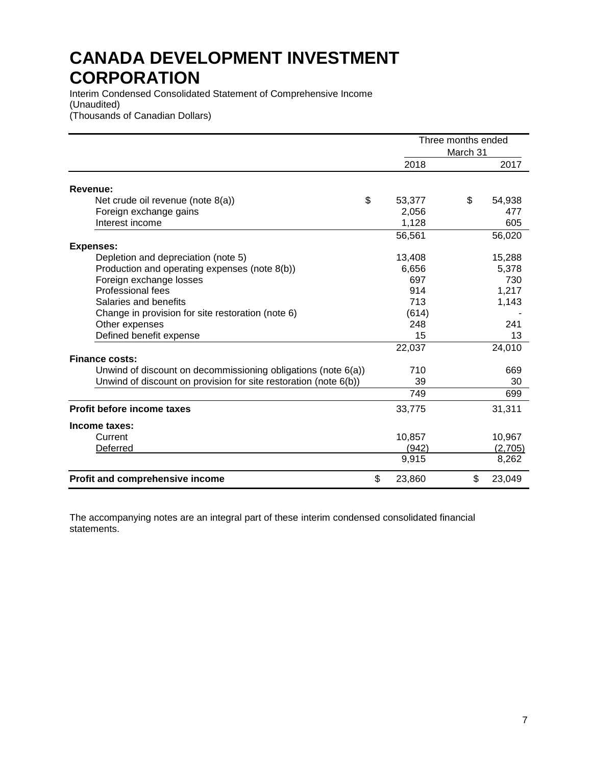Interim Condensed Consolidated Statement of Comprehensive Income (Unaudited) (Thousands of Canadian Dollars)

|                                                                  | Three months ended<br>March 31 |  |    |         |
|------------------------------------------------------------------|--------------------------------|--|----|---------|
|                                                                  | 2018                           |  |    | 2017    |
| Revenue:                                                         |                                |  |    |         |
| \$<br>Net crude oil revenue (note 8(a))                          | 53,377                         |  | \$ | 54,938  |
| Foreign exchange gains                                           | 2,056                          |  |    | 477     |
| Interest income                                                  | 1,128                          |  |    | 605     |
|                                                                  | 56,561                         |  |    | 56,020  |
| <b>Expenses:</b>                                                 |                                |  |    |         |
| Depletion and depreciation (note 5)                              | 13,408                         |  |    | 15,288  |
| Production and operating expenses (note 8(b))                    | 6,656                          |  |    | 5,378   |
| Foreign exchange losses                                          | 697                            |  |    | 730     |
| <b>Professional fees</b>                                         | 914                            |  |    | 1,217   |
| Salaries and benefits                                            | 713                            |  |    | 1,143   |
| Change in provision for site restoration (note 6)                | (614)                          |  |    |         |
| Other expenses                                                   | 248                            |  |    | 241     |
| Defined benefit expense                                          | 15                             |  |    | 13      |
|                                                                  | 22,037                         |  |    | 24,010  |
| <b>Finance costs:</b>                                            |                                |  |    |         |
| Unwind of discount on decommissioning obligations (note 6(a))    | 710                            |  |    | 669     |
| Unwind of discount on provision for site restoration (note 6(b)) | 39                             |  |    | 30      |
|                                                                  | 749                            |  |    | 699     |
| Profit before income taxes                                       | 33,775                         |  |    | 31,311  |
| Income taxes:                                                    |                                |  |    |         |
| Current                                                          | 10,857                         |  |    | 10,967  |
| Deferred                                                         | (942)                          |  |    | (2,705) |
|                                                                  | 9,915                          |  |    | 8,262   |
| Profit and comprehensive income                                  | \$<br>23,860                   |  | \$ | 23,049  |

The accompanying notes are an integral part of these interim condensed consolidated financial statements.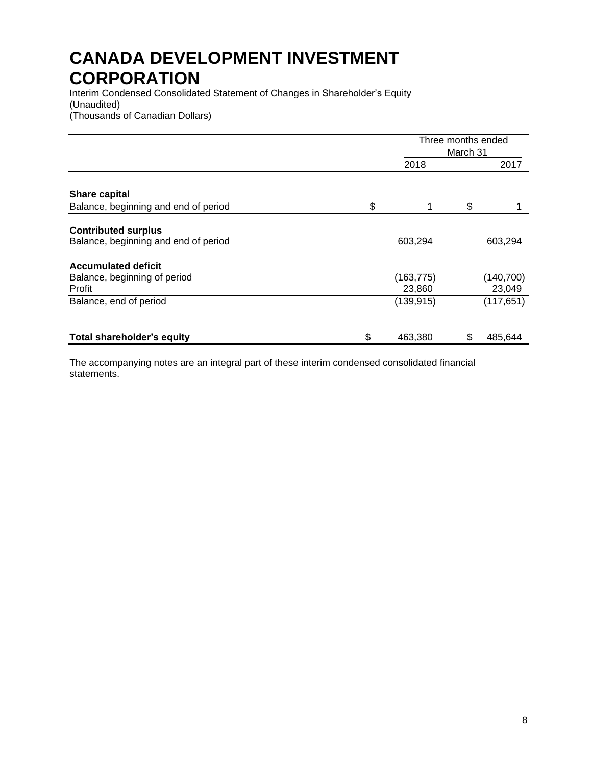Interim Condensed Consolidated Statement of Changes in Shareholder's Equity (Unaudited) (Thousands of Canadian Dollars)

|                                      | Three months ended<br>March 31 |    |            |  |
|--------------------------------------|--------------------------------|----|------------|--|
|                                      | 2018                           |    | 2017       |  |
| <b>Share capital</b>                 |                                |    |            |  |
| Balance, beginning and end of period | \$<br>1                        | \$ |            |  |
| <b>Contributed surplus</b>           |                                |    |            |  |
| Balance, beginning and end of period | 603,294                        |    | 603,294    |  |
| <b>Accumulated deficit</b>           |                                |    |            |  |
| Balance, beginning of period         | (163, 775)                     |    | (140, 700) |  |
| Profit                               | 23,860                         |    | 23,049     |  |
| Balance, end of period               | (139, 915)                     |    | (117, 651) |  |
| <b>Total shareholder's equity</b>    | \$<br>463,380                  |    | 485,644    |  |

The accompanying notes are an integral part of these interim condensed consolidated financial statements.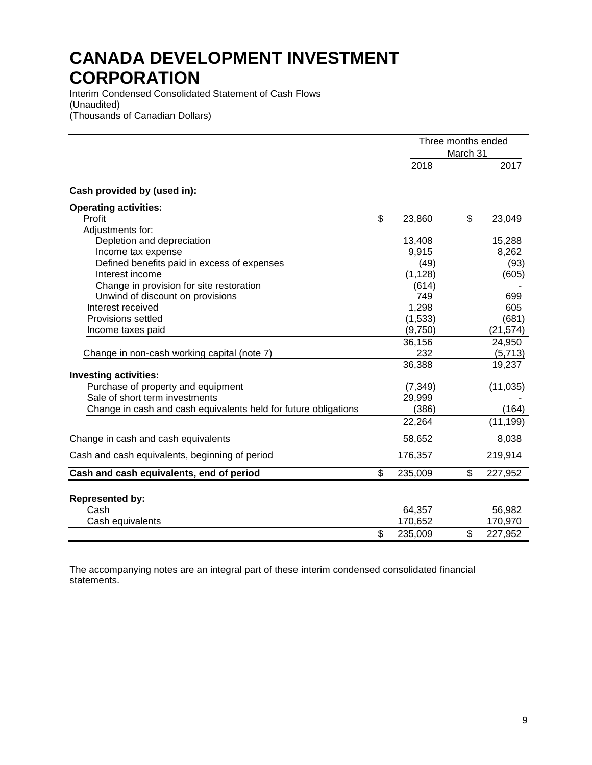Interim Condensed Consolidated Statement of Cash Flows (Unaudited) (Thousands of Canadian Dollars)

|                                                                 |                          |          | Three months ended<br>March 31 |           |  |
|-----------------------------------------------------------------|--------------------------|----------|--------------------------------|-----------|--|
|                                                                 |                          | 2018     |                                | 2017      |  |
| Cash provided by (used in):                                     |                          |          |                                |           |  |
| <b>Operating activities:</b>                                    |                          |          |                                |           |  |
| Profit                                                          | \$                       | 23,860   | \$                             | 23,049    |  |
| Adjustments for:                                                |                          |          |                                |           |  |
| Depletion and depreciation                                      |                          | 13,408   |                                | 15,288    |  |
| Income tax expense                                              |                          | 9,915    |                                | 8,262     |  |
| Defined benefits paid in excess of expenses                     |                          | (49)     |                                | (93)      |  |
| Interest income                                                 |                          | (1, 128) |                                | (605)     |  |
| Change in provision for site restoration                        |                          | (614)    |                                |           |  |
| Unwind of discount on provisions                                |                          | 749      |                                | 699       |  |
| Interest received                                               |                          | 1,298    |                                | 605       |  |
| Provisions settled                                              |                          | (1,533)  |                                | (681)     |  |
| Income taxes paid                                               |                          | (9,750)  |                                | (21, 574) |  |
|                                                                 |                          | 36,156   |                                | 24,950    |  |
| Change in non-cash working capital (note 7)                     |                          | 232      |                                | (5, 713)  |  |
|                                                                 |                          | 36,388   |                                | 19,237    |  |
| <b>Investing activities:</b>                                    |                          |          |                                |           |  |
| Purchase of property and equipment                              |                          | (7, 349) |                                | (11, 035) |  |
| Sale of short term investments                                  |                          | 29,999   |                                |           |  |
| Change in cash and cash equivalents held for future obligations |                          | (386)    |                                | (164)     |  |
|                                                                 |                          | 22,264   |                                | (11, 199) |  |
| Change in cash and cash equivalents                             |                          | 58,652   |                                | 8,038     |  |
| Cash and cash equivalents, beginning of period                  |                          | 176,357  |                                | 219,914   |  |
| Cash and cash equivalents, end of period                        | $\overline{\mathcal{E}}$ | 235,009  | \$                             | 227,952   |  |
|                                                                 |                          |          |                                |           |  |
| <b>Represented by:</b>                                          |                          |          |                                |           |  |
| Cash                                                            |                          | 64,357   |                                | 56,982    |  |
| Cash equivalents                                                |                          | 170,652  |                                | 170,970   |  |
|                                                                 | \$                       | 235,009  | \$                             | 227,952   |  |

The accompanying notes are an integral part of these interim condensed consolidated financial statements.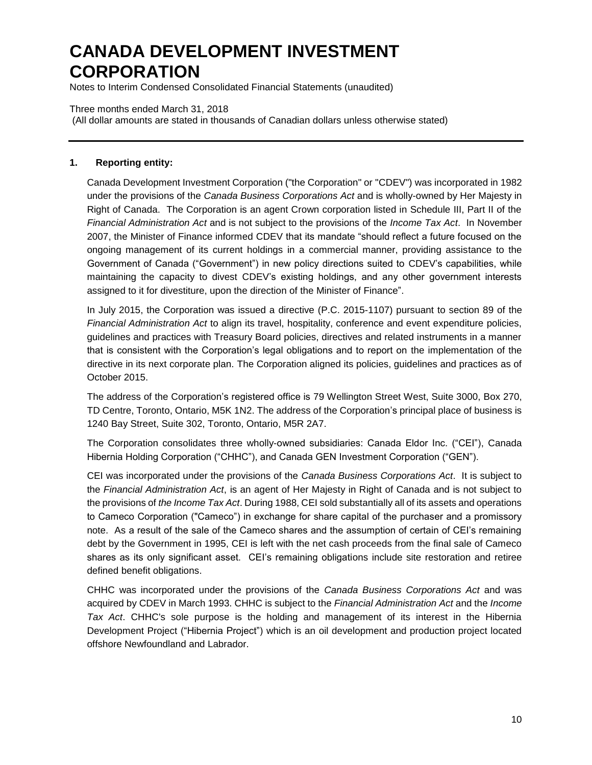Notes to Interim Condensed Consolidated Financial Statements (unaudited)

#### Three months ended March 31, 2018

(All dollar amounts are stated in thousands of Canadian dollars unless otherwise stated)

### **1. Reporting entity:**

Canada Development Investment Corporation ("the Corporation" or "CDEV") was incorporated in 1982 under the provisions of the *Canada Business Corporations Act* and is wholly-owned by Her Majesty in Right of Canada. The Corporation is an agent Crown corporation listed in Schedule III, Part II of the *Financial Administration Act* and is not subject to the provisions of the *Income Tax Act*. In November 2007, the Minister of Finance informed CDEV that its mandate "should reflect a future focused on the ongoing management of its current holdings in a commercial manner, providing assistance to the Government of Canada ("Government") in new policy directions suited to CDEV's capabilities, while maintaining the capacity to divest CDEV's existing holdings, and any other government interests assigned to it for divestiture, upon the direction of the Minister of Finance".

In July 2015, the Corporation was issued a directive (P.C. 2015-1107) pursuant to section 89 of the *Financial Administration Act* to align its travel, hospitality, conference and event expenditure policies, guidelines and practices with Treasury Board policies, directives and related instruments in a manner that is consistent with the Corporation's legal obligations and to report on the implementation of the directive in its next corporate plan. The Corporation aligned its policies, guidelines and practices as of October 2015.

The address of the Corporation's registered office is 79 Wellington Street West, Suite 3000, Box 270, TD Centre, Toronto, Ontario, M5K 1N2. The address of the Corporation's principal place of business is 1240 Bay Street, Suite 302, Toronto, Ontario, M5R 2A7.

The Corporation consolidates three wholly-owned subsidiaries: Canada Eldor Inc. ("CEI"), Canada Hibernia Holding Corporation ("CHHC"), and Canada GEN Investment Corporation ("GEN").

CEI was incorporated under the provisions of the *Canada Business Corporations Act*. It is subject to the *Financial Administration Act*, is an agent of Her Majesty in Right of Canada and is not subject to the provisions of *the Income Tax Act*. During 1988, CEI sold substantially all of its assets and operations to Cameco Corporation ("Cameco") in exchange for share capital of the purchaser and a promissory note. As a result of the sale of the Cameco shares and the assumption of certain of CEI's remaining debt by the Government in 1995, CEI is left with the net cash proceeds from the final sale of Cameco shares as its only significant asset. CEI's remaining obligations include site restoration and retiree defined benefit obligations.

CHHC was incorporated under the provisions of the *Canada Business Corporations Act* and was acquired by CDEV in March 1993. CHHC is subject to the *Financial Administration Act* and the *Income Tax Act*. CHHC's sole purpose is the holding and management of its interest in the Hibernia Development Project ("Hibernia Project") which is an oil development and production project located offshore Newfoundland and Labrador.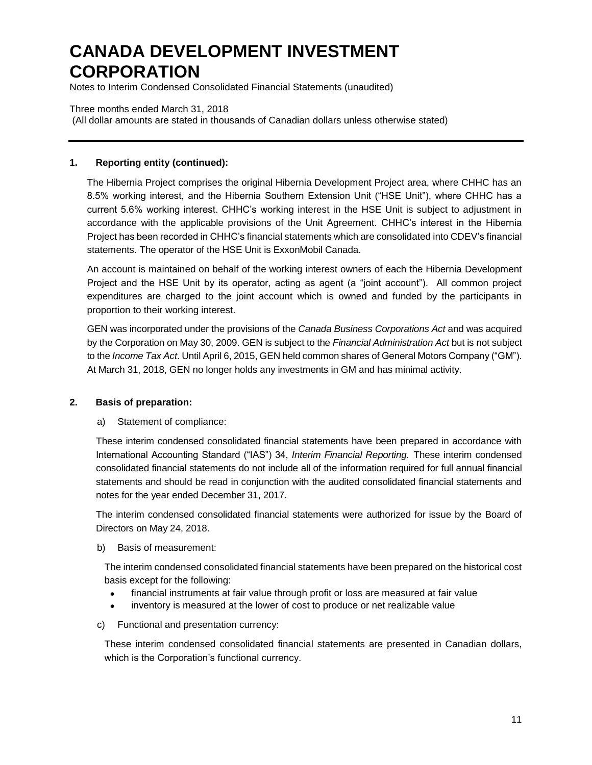Notes to Interim Condensed Consolidated Financial Statements (unaudited)

#### Three months ended March 31, 2018

(All dollar amounts are stated in thousands of Canadian dollars unless otherwise stated)

### **1. Reporting entity (continued):**

The Hibernia Project comprises the original Hibernia Development Project area, where CHHC has an 8.5% working interest, and the Hibernia Southern Extension Unit ("HSE Unit"), where CHHC has a current 5.6% working interest. CHHC's working interest in the HSE Unit is subject to adjustment in accordance with the applicable provisions of the Unit Agreement. CHHC's interest in the Hibernia Project has been recorded in CHHC's financial statements which are consolidated into CDEV's financial statements. The operator of the HSE Unit is ExxonMobil Canada.

An account is maintained on behalf of the working interest owners of each the Hibernia Development Project and the HSE Unit by its operator, acting as agent (a "joint account"). All common project expenditures are charged to the joint account which is owned and funded by the participants in proportion to their working interest.

GEN was incorporated under the provisions of the *Canada Business Corporations Act* and was acquired by the Corporation on May 30, 2009. GEN is subject to the *Financial Administration Act* but is not subject to the *Income Tax Act*. Until April 6, 2015, GEN held common shares of General Motors Company ("GM"). At March 31, 2018, GEN no longer holds any investments in GM and has minimal activity.

## **2. Basis of preparation:**

#### a) Statement of compliance:

These interim condensed consolidated financial statements have been prepared in accordance with International Accounting Standard ("IAS") 34, *Interim Financial Reporting.* These interim condensed consolidated financial statements do not include all of the information required for full annual financial statements and should be read in conjunction with the audited consolidated financial statements and notes for the year ended December 31, 2017.

The interim condensed consolidated financial statements were authorized for issue by the Board of Directors on May 24, 2018.

b) Basis of measurement:

The interim condensed consolidated financial statements have been prepared on the historical cost basis except for the following:

- financial instruments at fair value through profit or loss are measured at fair value
- inventory is measured at the lower of cost to produce or net realizable value
- c) Functional and presentation currency:

These interim condensed consolidated financial statements are presented in Canadian dollars, which is the Corporation's functional currency.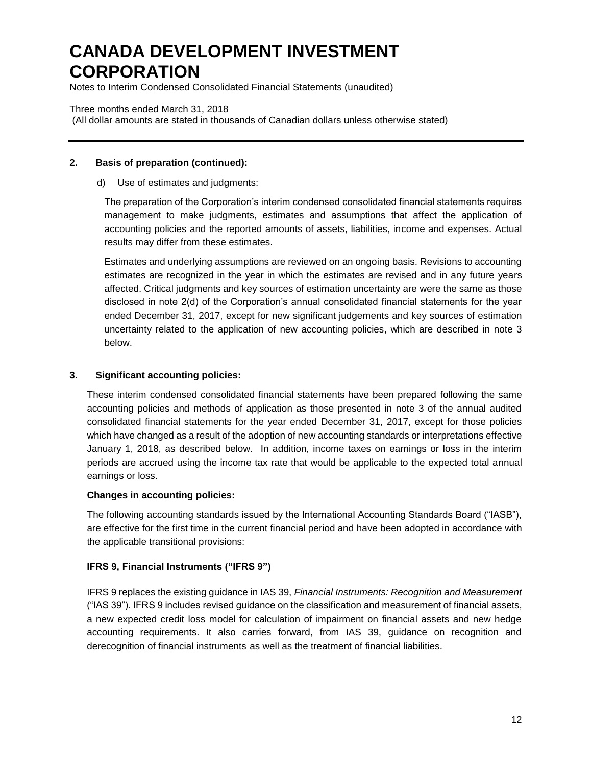Notes to Interim Condensed Consolidated Financial Statements (unaudited)

#### Three months ended March 31, 2018

(All dollar amounts are stated in thousands of Canadian dollars unless otherwise stated)

### **2. Basis of preparation (continued):**

#### d) Use of estimates and judgments:

The preparation of the Corporation's interim condensed consolidated financial statements requires management to make judgments, estimates and assumptions that affect the application of accounting policies and the reported amounts of assets, liabilities, income and expenses. Actual results may differ from these estimates.

Estimates and underlying assumptions are reviewed on an ongoing basis. Revisions to accounting estimates are recognized in the year in which the estimates are revised and in any future years affected. Critical judgments and key sources of estimation uncertainty are were the same as those disclosed in note 2(d) of the Corporation's annual consolidated financial statements for the year ended December 31, 2017, except for new significant judgements and key sources of estimation uncertainty related to the application of new accounting policies, which are described in note 3 below.

## **3. Significant accounting policies:**

These interim condensed consolidated financial statements have been prepared following the same accounting policies and methods of application as those presented in note 3 of the annual audited consolidated financial statements for the year ended December 31, 2017, except for those policies which have changed as a result of the adoption of new accounting standards or interpretations effective January 1, 2018, as described below. In addition, income taxes on earnings or loss in the interim periods are accrued using the income tax rate that would be applicable to the expected total annual earnings or loss.

#### **Changes in accounting policies:**

The following accounting standards issued by the International Accounting Standards Board ("IASB"), are effective for the first time in the current financial period and have been adopted in accordance with the applicable transitional provisions:

## **IFRS 9, Financial Instruments ("IFRS 9")**

IFRS 9 replaces the existing guidance in IAS 39, *Financial Instruments: Recognition and Measurement* ("IAS 39"). IFRS 9 includes revised guidance on the classification and measurement of financial assets, a new expected credit loss model for calculation of impairment on financial assets and new hedge accounting requirements. It also carries forward, from IAS 39, guidance on recognition and derecognition of financial instruments as well as the treatment of financial liabilities.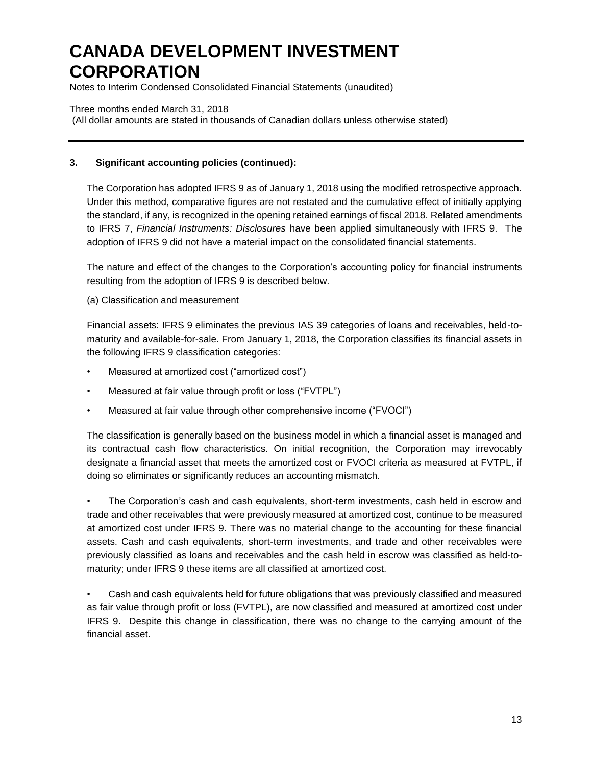Notes to Interim Condensed Consolidated Financial Statements (unaudited)

### Three months ended March 31, 2018

(All dollar amounts are stated in thousands of Canadian dollars unless otherwise stated)

### **3. Significant accounting policies (continued):**

The Corporation has adopted IFRS 9 as of January 1, 2018 using the modified retrospective approach. Under this method, comparative figures are not restated and the cumulative effect of initially applying the standard, if any, is recognized in the opening retained earnings of fiscal 2018. Related amendments to IFRS 7, *Financial Instruments: Disclosures* have been applied simultaneously with IFRS 9. The adoption of IFRS 9 did not have a material impact on the consolidated financial statements.

The nature and effect of the changes to the Corporation's accounting policy for financial instruments resulting from the adoption of IFRS 9 is described below.

(a) Classification and measurement

Financial assets: IFRS 9 eliminates the previous IAS 39 categories of loans and receivables, held-tomaturity and available-for-sale. From January 1, 2018, the Corporation classifies its financial assets in the following IFRS 9 classification categories:

- Measured at amortized cost ("amortized cost")
- Measured at fair value through profit or loss ("FVTPL")
- Measured at fair value through other comprehensive income ("FVOCI")

The classification is generally based on the business model in which a financial asset is managed and its contractual cash flow characteristics. On initial recognition, the Corporation may irrevocably designate a financial asset that meets the amortized cost or FVOCI criteria as measured at FVTPL, if doing so eliminates or significantly reduces an accounting mismatch.

• The Corporation's cash and cash equivalents, short-term investments, cash held in escrow and trade and other receivables that were previously measured at amortized cost, continue to be measured at amortized cost under IFRS 9. There was no material change to the accounting for these financial assets. Cash and cash equivalents, short-term investments, and trade and other receivables were previously classified as loans and receivables and the cash held in escrow was classified as held-tomaturity; under IFRS 9 these items are all classified at amortized cost.

• Cash and cash equivalents held for future obligations that was previously classified and measured as fair value through profit or loss (FVTPL), are now classified and measured at amortized cost under IFRS 9. Despite this change in classification, there was no change to the carrying amount of the financial asset.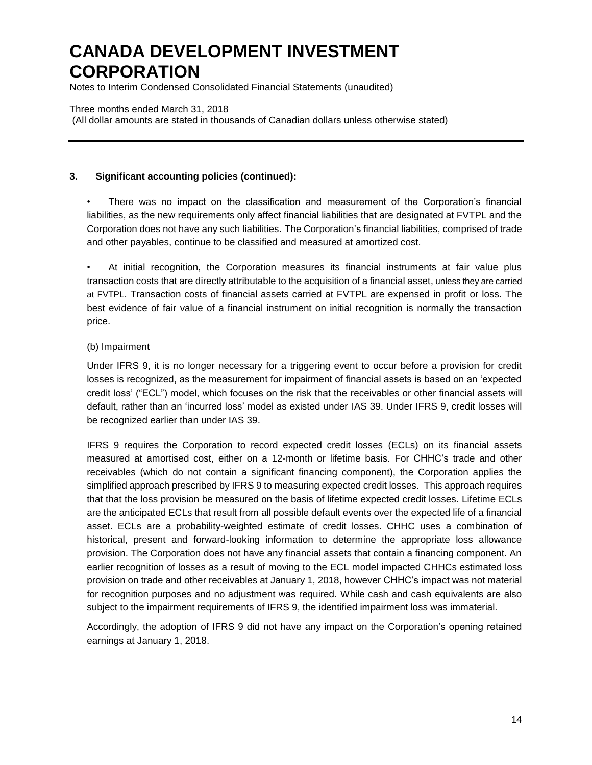Notes to Interim Condensed Consolidated Financial Statements (unaudited)

#### Three months ended March 31, 2018

(All dollar amounts are stated in thousands of Canadian dollars unless otherwise stated)

## **3. Significant accounting policies (continued):**

• There was no impact on the classification and measurement of the Corporation's financial liabilities, as the new requirements only affect financial liabilities that are designated at FVTPL and the Corporation does not have any such liabilities. The Corporation's financial liabilities, comprised of trade and other payables, continue to be classified and measured at amortized cost.

• At initial recognition, the Corporation measures its financial instruments at fair value plus transaction costs that are directly attributable to the acquisition of a financial asset, unless they are carried at FVTPL. Transaction costs of financial assets carried at FVTPL are expensed in profit or loss. The best evidence of fair value of a financial instrument on initial recognition is normally the transaction price.

#### (b) Impairment

Under IFRS 9, it is no longer necessary for a triggering event to occur before a provision for credit losses is recognized, as the measurement for impairment of financial assets is based on an 'expected credit loss' ("ECL") model, which focuses on the risk that the receivables or other financial assets will default, rather than an 'incurred loss' model as existed under IAS 39. Under IFRS 9, credit losses will be recognized earlier than under IAS 39.

IFRS 9 requires the Corporation to record expected credit losses (ECLs) on its financial assets measured at amortised cost, either on a 12-month or lifetime basis. For CHHC's trade and other receivables (which do not contain a significant financing component), the Corporation applies the simplified approach prescribed by IFRS 9 to measuring expected credit losses. This approach requires that that the loss provision be measured on the basis of lifetime expected credit losses. Lifetime ECLs are the anticipated ECLs that result from all possible default events over the expected life of a financial asset. ECLs are a probability-weighted estimate of credit losses. CHHC uses a combination of historical, present and forward-looking information to determine the appropriate loss allowance provision. The Corporation does not have any financial assets that contain a financing component. An earlier recognition of losses as a result of moving to the ECL model impacted CHHCs estimated loss provision on trade and other receivables at January 1, 2018, however CHHC's impact was not material for recognition purposes and no adjustment was required. While cash and cash equivalents are also subject to the impairment requirements of IFRS 9, the identified impairment loss was immaterial.

Accordingly, the adoption of IFRS 9 did not have any impact on the Corporation's opening retained earnings at January 1, 2018.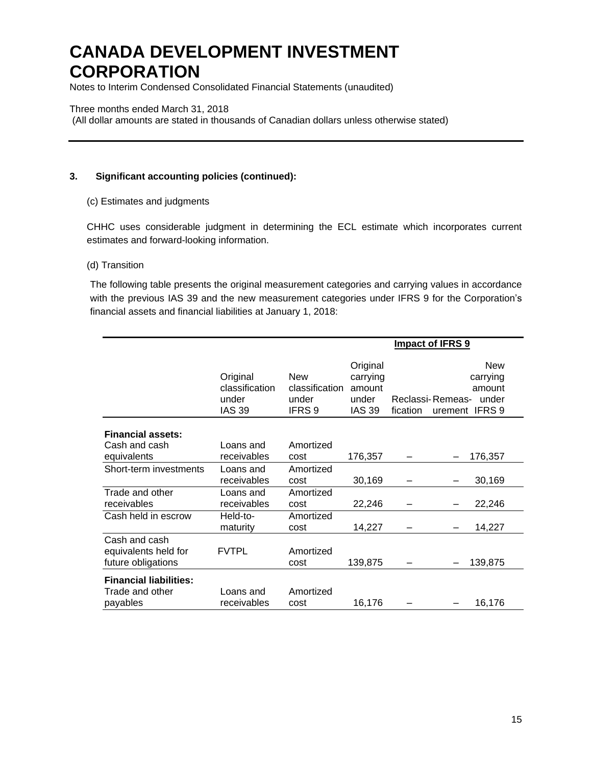Notes to Interim Condensed Consolidated Financial Statements (unaudited)

#### Three months ended March 31, 2018

(All dollar amounts are stated in thousands of Canadian dollars unless otherwise stated)

## **3. Significant accounting policies (continued):**

#### (c) Estimates and judgments

CHHC uses considerable judgment in determining the ECL estimate which incorporates current estimates and forward-looking information.

#### (d) Transition

The following table presents the original measurement categories and carrying values in accordance with the previous IAS 39 and the new measurement categories under IFRS 9 for the Corporation's financial assets and financial liabilities at January 1, 2018:

|                                                              |                                                      |                                                            | Impact of IFRS 9                                         |          |                                                                                 |  |  |
|--------------------------------------------------------------|------------------------------------------------------|------------------------------------------------------------|----------------------------------------------------------|----------|---------------------------------------------------------------------------------|--|--|
|                                                              | Original<br>classification<br>under<br><b>IAS 39</b> | <b>New</b><br>classification<br>under<br>IFRS <sub>9</sub> | Original<br>carrying<br>amount<br>under<br><b>IAS 39</b> | fication | <b>New</b><br>carrying<br>amount<br>Reclassi-Remeas-<br>under<br>urement IFRS 9 |  |  |
| <b>Financial assets:</b>                                     |                                                      |                                                            |                                                          |          |                                                                                 |  |  |
| Cash and cash<br>equivalents                                 | Loans and<br>receivables                             | Amortized<br>cost                                          | 176,357                                                  |          | 176,357                                                                         |  |  |
| Short-term investments                                       | Loans and<br>receivables                             | Amortized<br>cost                                          | 30,169                                                   |          | 30,169                                                                          |  |  |
| Trade and other<br>receivables                               | Loans and<br>receivables                             | Amortized<br>cost                                          | 22,246                                                   |          | 22,246                                                                          |  |  |
| Cash held in escrow                                          | Held-to-<br>maturity                                 | Amortized<br>cost                                          | 14,227                                                   |          | 14,227                                                                          |  |  |
| Cash and cash<br>equivalents held for<br>future obligations  | <b>FVTPL</b>                                         | Amortized<br>cost                                          | 139,875                                                  |          | 139,875                                                                         |  |  |
| <b>Financial liabilities:</b><br>Trade and other<br>payables | Loans and<br>receivables                             | Amortized<br>cost                                          | 16,176                                                   |          | 16,176                                                                          |  |  |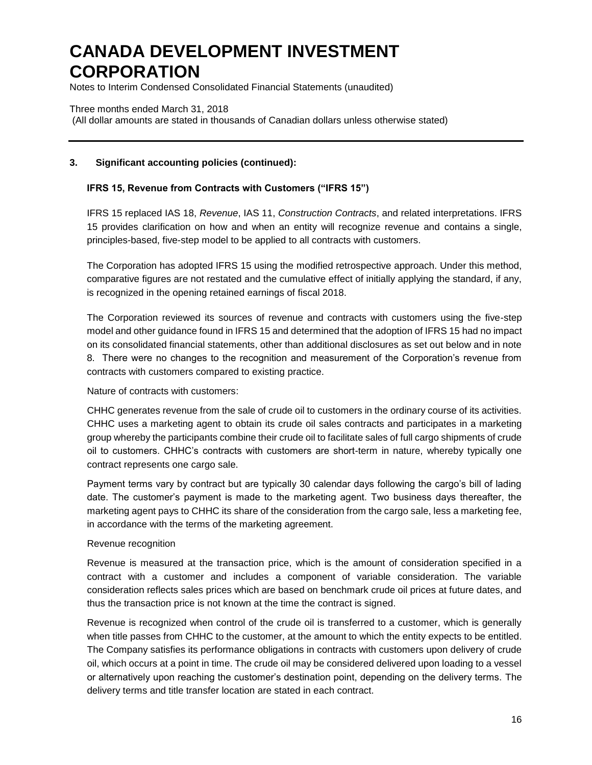Notes to Interim Condensed Consolidated Financial Statements (unaudited)

Three months ended March 31, 2018 (All dollar amounts are stated in thousands of Canadian dollars unless otherwise stated)

## **3. Significant accounting policies (continued):**

### **IFRS 15, Revenue from Contracts with Customers ("IFRS 15")**

IFRS 15 replaced IAS 18, *Revenue*, IAS 11, *Construction Contracts*, and related interpretations. IFRS 15 provides clarification on how and when an entity will recognize revenue and contains a single, principles-based, five-step model to be applied to all contracts with customers.

The Corporation has adopted IFRS 15 using the modified retrospective approach. Under this method, comparative figures are not restated and the cumulative effect of initially applying the standard, if any, is recognized in the opening retained earnings of fiscal 2018.

The Corporation reviewed its sources of revenue and contracts with customers using the five-step model and other guidance found in IFRS 15 and determined that the adoption of IFRS 15 had no impact on its consolidated financial statements, other than additional disclosures as set out below and in note 8. There were no changes to the recognition and measurement of the Corporation's revenue from contracts with customers compared to existing practice.

Nature of contracts with customers:

CHHC generates revenue from the sale of crude oil to customers in the ordinary course of its activities. CHHC uses a marketing agent to obtain its crude oil sales contracts and participates in a marketing group whereby the participants combine their crude oil to facilitate sales of full cargo shipments of crude oil to customers. CHHC's contracts with customers are short-term in nature, whereby typically one contract represents one cargo sale.

Payment terms vary by contract but are typically 30 calendar days following the cargo's bill of lading date. The customer's payment is made to the marketing agent. Two business days thereafter, the marketing agent pays to CHHC its share of the consideration from the cargo sale, less a marketing fee, in accordance with the terms of the marketing agreement.

#### Revenue recognition

Revenue is measured at the transaction price, which is the amount of consideration specified in a contract with a customer and includes a component of variable consideration. The variable consideration reflects sales prices which are based on benchmark crude oil prices at future dates, and thus the transaction price is not known at the time the contract is signed.

Revenue is recognized when control of the crude oil is transferred to a customer, which is generally when title passes from CHHC to the customer, at the amount to which the entity expects to be entitled. The Company satisfies its performance obligations in contracts with customers upon delivery of crude oil, which occurs at a point in time. The crude oil may be considered delivered upon loading to a vessel or alternatively upon reaching the customer's destination point, depending on the delivery terms. The delivery terms and title transfer location are stated in each contract.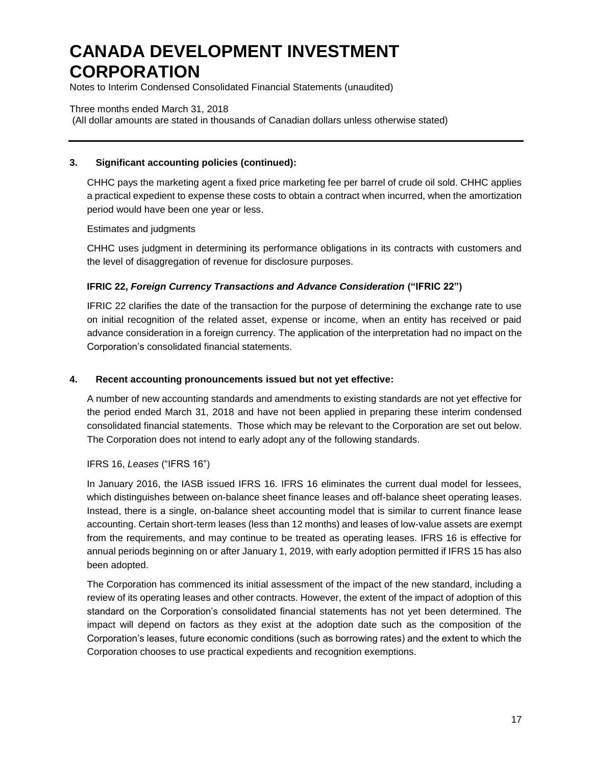Notes to Interim Condensed Consolidated Financial Statements (unaudited)

### Three months ended March 31, 2018

(All dollar amounts are stated in thousands of Canadian dollars unless otherwise stated)

### **3. Significant accounting policies (continued):**

CHHC pays the marketing agent a fixed price marketing fee per barrel of crude oil sold. CHHC applies a practical expedient to expense these costs to obtain a contract when incurred, when the amortization period would have been one year or less.

Estimates and judgments

CHHC uses judgment in determining its performance obligations in its contracts with customers and the level of disaggregation of revenue for disclosure purposes.

## **IFRIC 22,** *Foreign Currency Transactions and Advance Consideration* **("IFRIC 22")**

IFRIC 22 clarifies the date of the transaction for the purpose of determining the exchange rate to use on initial recognition of the related asset, expense or income, when an entity has received or paid advance consideration in a foreign currency. The application of the interpretation had no impact on the Corporation's consolidated financial statements.

### **4. Recent accounting pronouncements issued but not yet effective:**

A number of new accounting standards and amendments to existing standards are not yet effective for the period ended March 31, 2018 and have not been applied in preparing these interim condensed consolidated financial statements. Those which may be relevant to the Corporation are set out below. The Corporation does not intend to early adopt any of the following standards.

## IFRS 16, *Leases* ("IFRS 16")

In January 2016, the IASB issued IFRS 16. IFRS 16 eliminates the current dual model for lessees, which distinguishes between on-balance sheet finance leases and off-balance sheet operating leases. Instead, there is a single, on-balance sheet accounting model that is similar to current finance lease accounting. Certain short-term leases (less than 12 months) and leases of low-value assets are exempt from the requirements, and may continue to be treated as operating leases. IFRS 16 is effective for annual periods beginning on or after January 1, 2019, with early adoption permitted if IFRS 15 has also been adopted.

The Corporation has commenced its initial assessment of the impact of the new standard, including a review of its operating leases and other contracts. However, the extent of the impact of adoption of this standard on the Corporation's consolidated financial statements has not yet been determined. The impact will depend on factors as they exist at the adoption date such as the composition of the Corporation's leases, future economic conditions (such as borrowing rates) and the extent to which the Corporation chooses to use practical expedients and recognition exemptions.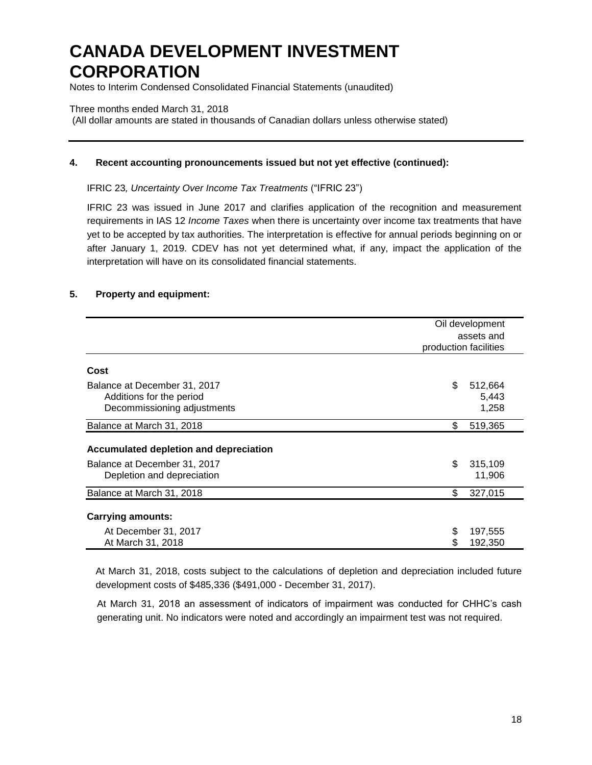Notes to Interim Condensed Consolidated Financial Statements (unaudited)

#### Three months ended March 31, 2018

(All dollar amounts are stated in thousands of Canadian dollars unless otherwise stated)

#### **4. Recent accounting pronouncements issued but not yet effective (continued):**

IFRIC 23*, Uncertainty Over Income Tax Treatments* ("IFRIC 23")

IFRIC 23 was issued in June 2017 and clarifies application of the recognition and measurement requirements in IAS 12 *Income Taxes* when there is uncertainty over income tax treatments that have yet to be accepted by tax authorities. The interpretation is effective for annual periods beginning on or after January 1, 2019. CDEV has not yet determined what, if any, impact the application of the interpretation will have on its consolidated financial statements.

#### **5. Property and equipment:**

|                                        | Oil development       |
|----------------------------------------|-----------------------|
|                                        | assets and            |
|                                        | production facilities |
|                                        |                       |
| Cost                                   |                       |
| Balance at December 31, 2017           | \$<br>512,664         |
| Additions for the period               | 5,443                 |
| Decommissioning adjustments            | 1,258                 |
| Balance at March 31, 2018              | \$<br>519,365         |
| Accumulated depletion and depreciation |                       |
| Balance at December 31, 2017           | \$<br>315,109         |
| Depletion and depreciation             | 11,906                |
| Balance at March 31, 2018              | \$<br>327,015         |
| <b>Carrying amounts:</b>               |                       |
|                                        |                       |
| At December 31, 2017                   | 197,555<br>\$         |
| At March 31, 2018                      | 192,350               |

At March 31, 2018, costs subject to the calculations of depletion and depreciation included future development costs of \$485,336 (\$491,000 - December 31, 2017).

At March 31, 2018 an assessment of indicators of impairment was conducted for CHHC's cash generating unit. No indicators were noted and accordingly an impairment test was not required.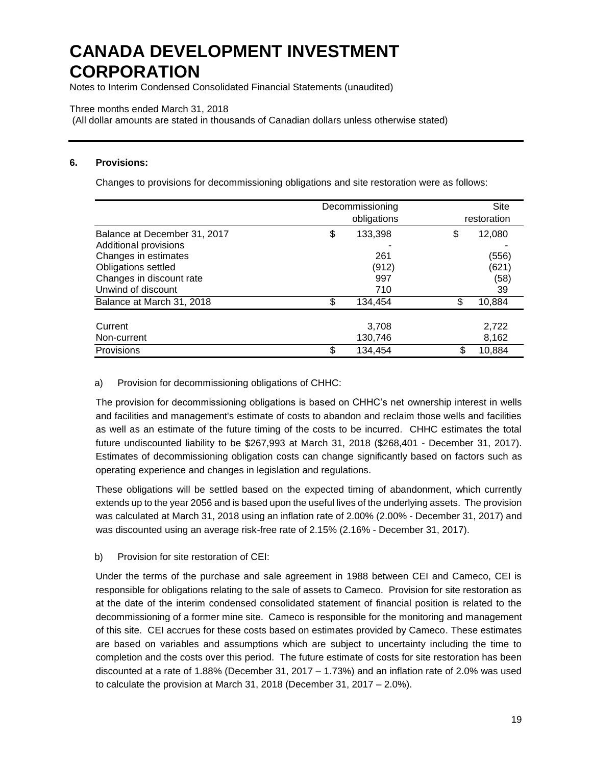Notes to Interim Condensed Consolidated Financial Statements (unaudited)

### Three months ended March 31, 2018

(All dollar amounts are stated in thousands of Canadian dollars unless otherwise stated)

#### **6. Provisions:**

Changes to provisions for decommissioning obligations and site restoration were as follows:

|                                                       | Decommissioning<br>obligations |         |    | Site<br>restoration |
|-------------------------------------------------------|--------------------------------|---------|----|---------------------|
| Balance at December 31, 2017<br>Additional provisions | \$                             | 133,398 | \$ | 12,080              |
| Changes in estimates                                  |                                | 261     |    | (556)               |
| Obligations settled                                   |                                | (912)   |    | (621)               |
| Changes in discount rate                              |                                | 997     |    | (58)                |
| Unwind of discount                                    |                                | 710     |    | 39                  |
| Balance at March 31, 2018                             | \$.                            | 134.454 | \$ | 10,884              |
|                                                       |                                |         |    |                     |
| Current                                               |                                | 3,708   |    | 2,722               |
| Non-current                                           |                                | 130,746 |    | 8,162               |
| Provisions                                            | \$                             | 134.454 | \$ | 10,884              |

## a) Provision for decommissioning obligations of CHHC:

The provision for decommissioning obligations is based on CHHC's net ownership interest in wells and facilities and management's estimate of costs to abandon and reclaim those wells and facilities as well as an estimate of the future timing of the costs to be incurred. CHHC estimates the total future undiscounted liability to be \$267,993 at March 31, 2018 (\$268,401 - December 31, 2017). Estimates of decommissioning obligation costs can change significantly based on factors such as operating experience and changes in legislation and regulations.

These obligations will be settled based on the expected timing of abandonment, which currently extends up to the year 2056 and is based upon the useful lives of the underlying assets. The provision was calculated at March 31, 2018 using an inflation rate of 2.00% (2.00% - December 31, 2017) and was discounted using an average risk-free rate of 2.15% (2.16% - December 31, 2017).

## b) Provision for site restoration of CEI:

Under the terms of the purchase and sale agreement in 1988 between CEI and Cameco, CEI is responsible for obligations relating to the sale of assets to Cameco. Provision for site restoration as at the date of the interim condensed consolidated statement of financial position is related to the decommissioning of a former mine site. Cameco is responsible for the monitoring and management of this site. CEI accrues for these costs based on estimates provided by Cameco. These estimates are based on variables and assumptions which are subject to uncertainty including the time to completion and the costs over this period. The future estimate of costs for site restoration has been discounted at a rate of 1.88% (December 31, 2017 – 1.73%) and an inflation rate of 2.0% was used to calculate the provision at March 31, 2018 (December 31, 2017 – 2.0%).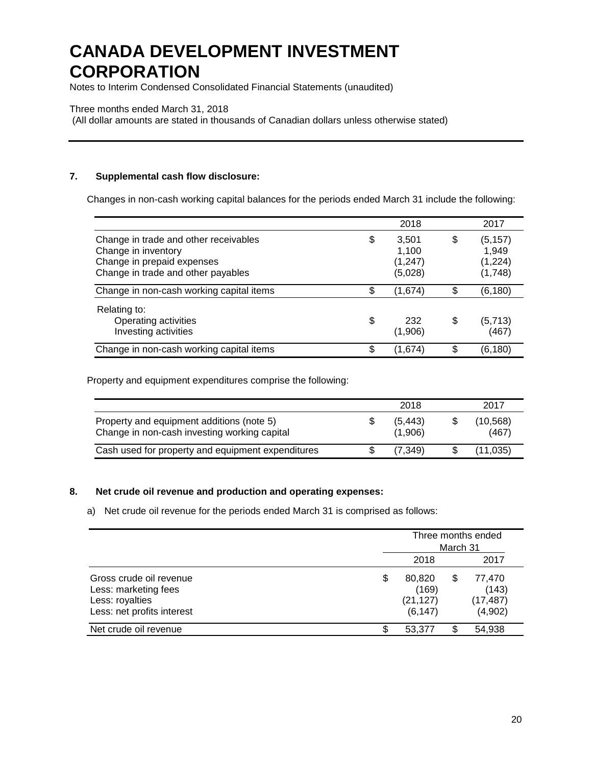Notes to Interim Condensed Consolidated Financial Statements (unaudited)

#### Three months ended March 31, 2018

(All dollar amounts are stated in thousands of Canadian dollars unless otherwise stated)

## **7. Supplemental cash flow disclosure:**

Changes in non-cash working capital balances for the periods ended March 31 include the following:

|                                                                                                                                  | 2018                                       |     | 2017                                    |
|----------------------------------------------------------------------------------------------------------------------------------|--------------------------------------------|-----|-----------------------------------------|
| Change in trade and other receivables<br>Change in inventory<br>Change in prepaid expenses<br>Change in trade and other payables | \$<br>3.501<br>1.100<br>(1,247)<br>(5,028) | S   | (5, 157)<br>1.949<br>(1,224)<br>(1,748) |
| Change in non-cash working capital items                                                                                         | \$<br>(1,674)                              | \$  | (6,180)                                 |
| Relating to:<br>Operating activities<br>Investing activities                                                                     | \$<br>232<br>(1,906)                       | \$  | (5, 713)<br>(467)                       |
| Change in non-cash working capital items                                                                                         | \$<br>(1,674)                              | \$. | (6,180)                                 |

Property and equipment expenditures comprise the following:

|                                                                                           | 2018                | 2017              |
|-------------------------------------------------------------------------------------------|---------------------|-------------------|
| Property and equipment additions (note 5)<br>Change in non-cash investing working capital | (5, 443)<br>(1,906) | (10,568)<br>(467) |
| Cash used for property and equipment expenditures                                         | (7,349)             | (11.035)          |

#### **8. Net crude oil revenue and production and operating expenses:**

### a) Net crude oil revenue for the periods ended March 31 is comprised as follows:

|                                                                                                  |   | Three months ended<br>March 31           |    |                                         |  |
|--------------------------------------------------------------------------------------------------|---|------------------------------------------|----|-----------------------------------------|--|
|                                                                                                  |   | 2018                                     |    | 2017                                    |  |
| Gross crude oil revenue<br>Less: marketing fees<br>Less: royalties<br>Less: net profits interest | S | 80,820<br>(169)<br>(21, 127)<br>(6, 147) | \$ | 77,470<br>(143)<br>(17, 487)<br>(4,902) |  |
| Net crude oil revenue                                                                            | œ | 53,377                                   |    | 54,938                                  |  |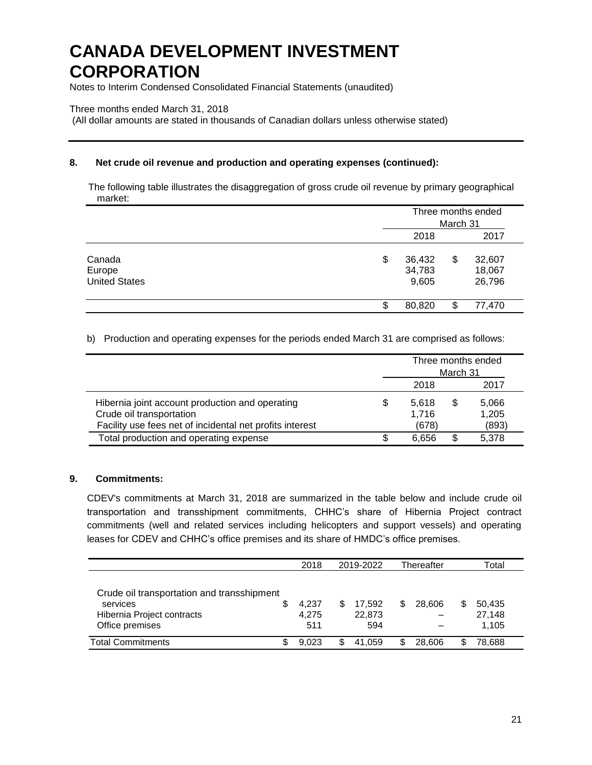Notes to Interim Condensed Consolidated Financial Statements (unaudited)

#### Three months ended March 31, 2018

(All dollar amounts are stated in thousands of Canadian dollars unless otherwise stated)

## **8. Net crude oil revenue and production and operating expenses (continued):**

The following table illustrates the disaggregation of gross crude oil revenue by primary geographical market:

|                                          | Three months ended<br>March 31  |    |                            |
|------------------------------------------|---------------------------------|----|----------------------------|
|                                          | 2018                            |    | 2017                       |
| Canada<br>Europe<br><b>United States</b> | \$<br>36,432<br>34,783<br>9,605 | \$ | 32,607<br>18,067<br>26,796 |
|                                          | 80,820                          |    | 77,470                     |

b) Production and operating expenses for the periods ended March 31 are comprised as follows:

|                                                          | Three months ended<br>March 31 |       |   |       |  |
|----------------------------------------------------------|--------------------------------|-------|---|-------|--|
|                                                          |                                | 2018  |   | 2017  |  |
| Hibernia joint account production and operating          | \$                             | 5.618 | S | 5,066 |  |
| Crude oil transportation                                 |                                | 1.716 |   | 1,205 |  |
| Facility use fees net of incidental net profits interest |                                | (678) |   | (893) |  |
| Total production and operating expense                   |                                | 6.656 |   | 5.378 |  |

#### **9. Commitments:**

CDEV's commitments at March 31, 2018 are summarized in the table below and include crude oil transportation and transshipment commitments, CHHC's share of Hibernia Project contract commitments (well and related services including helicopters and support vessels) and operating leases for CDEV and CHHC's office premises and its share of HMDC's office premises.

|                                            |   | 2018  | 2019-2022 |        | Thereafter |        | Total |        |
|--------------------------------------------|---|-------|-----------|--------|------------|--------|-------|--------|
|                                            |   |       |           |        |            |        |       |        |
| Crude oil transportation and transshipment |   |       |           |        |            |        |       |        |
| services                                   | S | 4.237 |           | 17.592 | S          | 28,606 | S     | 50.435 |
| Hibernia Project contracts                 |   | 4.275 |           | 22,873 |            |        |       | 27,148 |
| Office premises                            |   | 511   |           | 594    |            |        |       | 1,105  |
| <b>Total Commitments</b>                   |   | 9.023 |           | 41.059 | S          | 28.606 |       | 78,688 |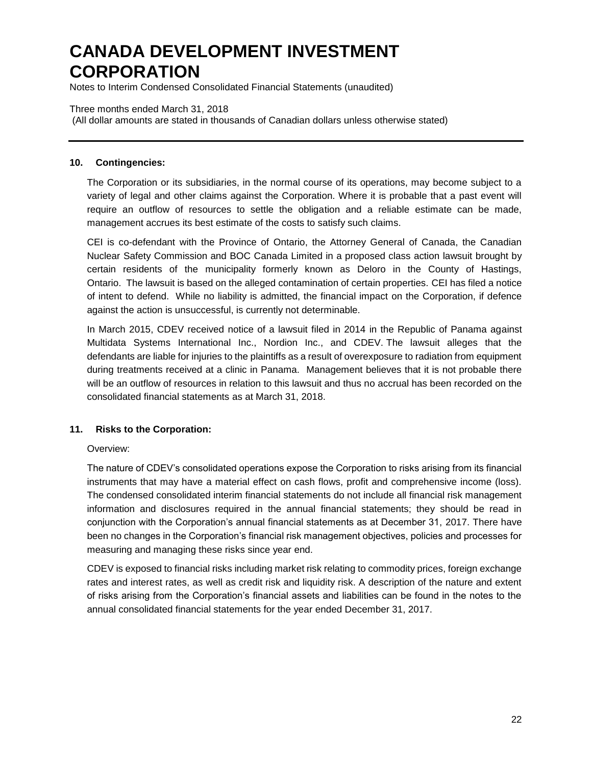Notes to Interim Condensed Consolidated Financial Statements (unaudited)

#### Three months ended March 31, 2018

(All dollar amounts are stated in thousands of Canadian dollars unless otherwise stated)

## **10. Contingencies:**

The Corporation or its subsidiaries, in the normal course of its operations, may become subject to a variety of legal and other claims against the Corporation. Where it is probable that a past event will require an outflow of resources to settle the obligation and a reliable estimate can be made, management accrues its best estimate of the costs to satisfy such claims.

CEI is co-defendant with the Province of Ontario, the Attorney General of Canada, the Canadian Nuclear Safety Commission and BOC Canada Limited in a proposed class action lawsuit brought by certain residents of the municipality formerly known as Deloro in the County of Hastings, Ontario. The lawsuit is based on the alleged contamination of certain properties. CEI has filed a notice of intent to defend. While no liability is admitted, the financial impact on the Corporation, if defence against the action is unsuccessful, is currently not determinable.

In March 2015, CDEV received notice of a lawsuit filed in 2014 in the Republic of Panama against Multidata Systems International Inc., Nordion Inc., and CDEV. The lawsuit alleges that the defendants are liable for injuries to the plaintiffs as a result of overexposure to radiation from equipment during treatments received at a clinic in Panama. Management believes that it is not probable there will be an outflow of resources in relation to this lawsuit and thus no accrual has been recorded on the consolidated financial statements as at March 31, 2018.

## **11. Risks to the Corporation:**

## Overview:

The nature of CDEV's consolidated operations expose the Corporation to risks arising from its financial instruments that may have a material effect on cash flows, profit and comprehensive income (loss). The condensed consolidated interim financial statements do not include all financial risk management information and disclosures required in the annual financial statements; they should be read in conjunction with the Corporation's annual financial statements as at December 31, 2017. There have been no changes in the Corporation's financial risk management objectives, policies and processes for measuring and managing these risks since year end.

CDEV is exposed to financial risks including market risk relating to commodity prices, foreign exchange rates and interest rates, as well as credit risk and liquidity risk. A description of the nature and extent of risks arising from the Corporation's financial assets and liabilities can be found in the notes to the annual consolidated financial statements for the year ended December 31, 2017.